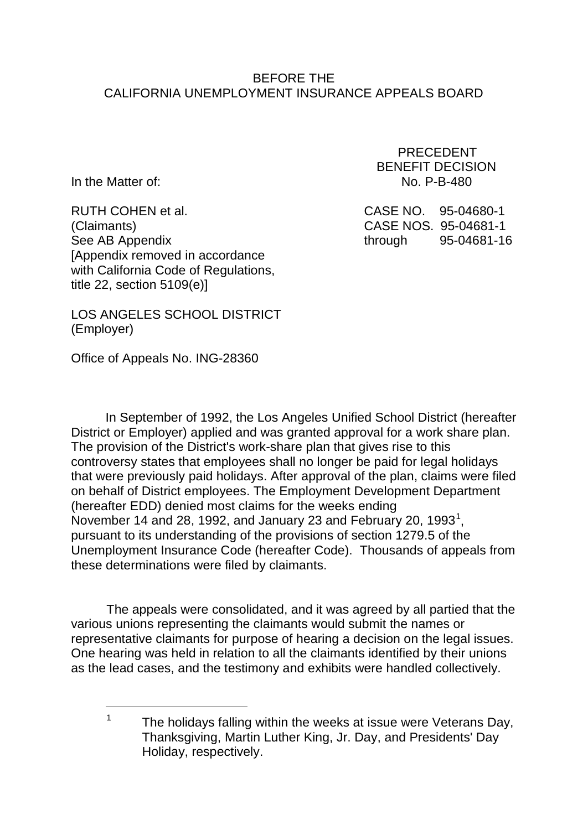#### BEFORE THE CALIFORNIA UNEMPLOYMENT INSURANCE APPEALS BOARD

Ξ

RUTH COHEN et al. CASE NO. 95-04680-1 (Claimants) CASE NOS. 95-04681-1 See AB Appendix and through 95-04681-16 [Appendix removed in accordance with California Code of Regulations, title 22, section 5109(e)]

 PRECEDENT BENEFIT DECISION In the Matter of: No. P-B-480

LOS ANGELES SCHOOL DISTRICT (Employer)

Office of Appeals No. ING-28360

In September of 1992, the Los Angeles Unified School District (hereafter District or Employer) applied and was granted approval for a work share plan. The provision of the District's work-share plan that gives rise to this controversy states that employees shall no longer be paid for legal holidays that were previously paid holidays. After approval of the plan, claims were filed on behalf of District employees. The Employment Development Department (hereafter EDD) denied most claims for the weeks ending November [1](#page-0-0)4 and 28, 1992, and January 23 and February 20, 1993<sup>1</sup>, pursuant to its understanding of the provisions of section 1279.5 of the Unemployment Insurance Code (hereafter Code). Thousands of appeals from these determinations were filed by claimants.

The appeals were consolidated, and it was agreed by all partied that the various unions representing the claimants would submit the names or representative claimants for purpose of hearing a decision on the legal issues. One hearing was held in relation to all the claimants identified by their unions as the lead cases, and the testimony and exhibits were handled collectively.

<span id="page-0-0"></span><sup>&</sup>lt;sup>1</sup> The holidays falling within the weeks at issue were Veterans Day, Thanksgiving, Martin Luther King, Jr. Day, and Presidents' Day Holiday, respectively.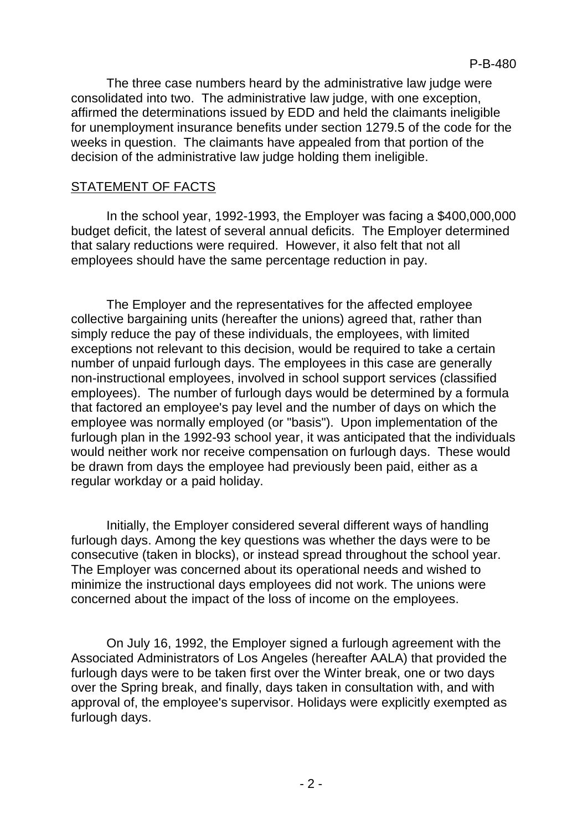The three case numbers heard by the administrative law judge were consolidated into two. The administrative law judge, with one exception, affirmed the determinations issued by EDD and held the claimants ineligible for unemployment insurance benefits under section 1279.5 of the code for the weeks in question. The claimants have appealed from that portion of the decision of the administrative law judge holding them ineligible.

### STATEMENT OF FACTS

In the school year, 1992-1993, the Employer was facing a \$400,000,000 budget deficit, the latest of several annual deficits. The Employer determined that salary reductions were required. However, it also felt that not all employees should have the same percentage reduction in pay.

The Employer and the representatives for the affected employee collective bargaining units (hereafter the unions) agreed that, rather than simply reduce the pay of these individuals, the employees, with limited exceptions not relevant to this decision, would be required to take a certain number of unpaid furlough days. The employees in this case are generally non-instructional employees, involved in school support services (classified employees). The number of furlough days would be determined by a formula that factored an employee's pay level and the number of days on which the employee was normally employed (or "basis"). Upon implementation of the furlough plan in the 1992-93 school year, it was anticipated that the individuals would neither work nor receive compensation on furlough days. These would be drawn from days the employee had previously been paid, either as a regular workday or a paid holiday.

Initially, the Employer considered several different ways of handling furlough days. Among the key questions was whether the days were to be consecutive (taken in blocks), or instead spread throughout the school year. The Employer was concerned about its operational needs and wished to minimize the instructional days employees did not work. The unions were concerned about the impact of the loss of income on the employees.

On July 16, 1992, the Employer signed a furlough agreement with the Associated Administrators of Los Angeles (hereafter AALA) that provided the furlough days were to be taken first over the Winter break, one or two days over the Spring break, and finally, days taken in consultation with, and with approval of, the employee's supervisor. Holidays were explicitly exempted as furlough days.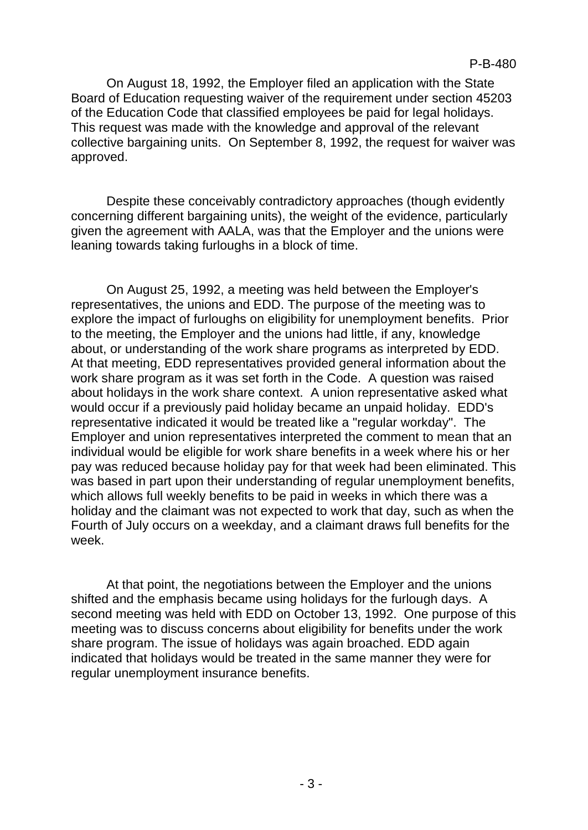On August 18, 1992, the Employer filed an application with the State Board of Education requesting waiver of the requirement under section 45203 of the Education Code that classified employees be paid for legal holidays. This request was made with the knowledge and approval of the relevant collective bargaining units. On September 8, 1992, the request for waiver was approved.

Despite these conceivably contradictory approaches (though evidently concerning different bargaining units), the weight of the evidence, particularly given the agreement with AALA, was that the Employer and the unions were leaning towards taking furloughs in a block of time.

On August 25, 1992, a meeting was held between the Employer's representatives, the unions and EDD. The purpose of the meeting was to explore the impact of furloughs on eligibility for unemployment benefits. Prior to the meeting, the Employer and the unions had little, if any, knowledge about, or understanding of the work share programs as interpreted by EDD. At that meeting, EDD representatives provided general information about the work share program as it was set forth in the Code. A question was raised about holidays in the work share context. A union representative asked what would occur if a previously paid holiday became an unpaid holiday. EDD's representative indicated it would be treated like a "regular workday". The Employer and union representatives interpreted the comment to mean that an individual would be eligible for work share benefits in a week where his or her pay was reduced because holiday pay for that week had been eliminated. This was based in part upon their understanding of regular unemployment benefits, which allows full weekly benefits to be paid in weeks in which there was a holiday and the claimant was not expected to work that day, such as when the Fourth of July occurs on a weekday, and a claimant draws full benefits for the week.

At that point, the negotiations between the Employer and the unions shifted and the emphasis became using holidays for the furlough days. A second meeting was held with EDD on October 13, 1992. One purpose of this meeting was to discuss concerns about eligibility for benefits under the work share program. The issue of holidays was again broached. EDD again indicated that holidays would be treated in the same manner they were for regular unemployment insurance benefits.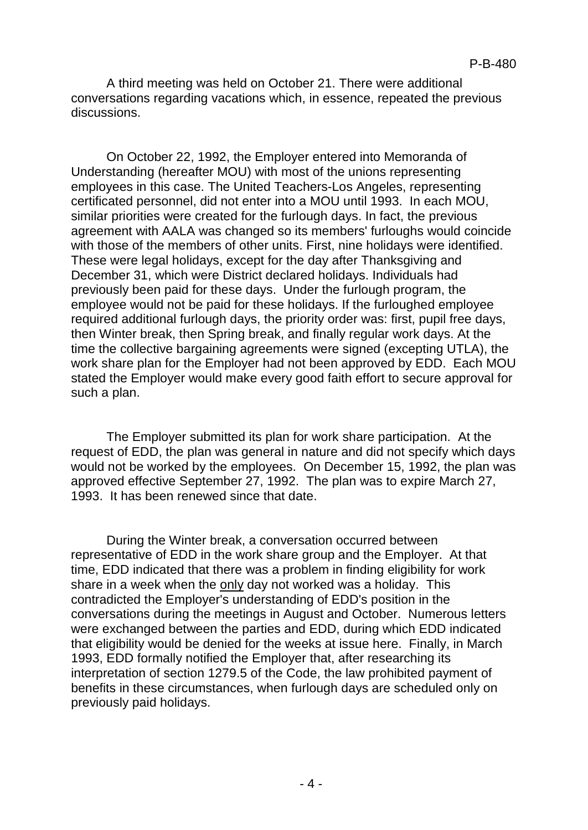A third meeting was held on October 21. There were additional conversations regarding vacations which, in essence, repeated the previous discussions.

On October 22, 1992, the Employer entered into Memoranda of Understanding (hereafter MOU) with most of the unions representing employees in this case. The United Teachers-Los Angeles, representing certificated personnel, did not enter into a MOU until 1993. In each MOU, similar priorities were created for the furlough days. In fact, the previous agreement with AALA was changed so its members' furloughs would coincide with those of the members of other units. First, nine holidays were identified. These were legal holidays, except for the day after Thanksgiving and December 31, which were District declared holidays. Individuals had previously been paid for these days. Under the furlough program, the employee would not be paid for these holidays. If the furloughed employee required additional furlough days, the priority order was: first, pupil free days, then Winter break, then Spring break, and finally regular work days. At the time the collective bargaining agreements were signed (excepting UTLA), the work share plan for the Employer had not been approved by EDD. Each MOU stated the Employer would make every good faith effort to secure approval for such a plan.

The Employer submitted its plan for work share participation. At the request of EDD, the plan was general in nature and did not specify which days would not be worked by the employees. On December 15, 1992, the plan was approved effective September 27, 1992. The plan was to expire March 27, 1993. It has been renewed since that date.

During the Winter break, a conversation occurred between representative of EDD in the work share group and the Employer. At that time, EDD indicated that there was a problem in finding eligibility for work share in a week when the only day not worked was a holiday. This contradicted the Employer's understanding of EDD's position in the conversations during the meetings in August and October. Numerous letters were exchanged between the parties and EDD, during which EDD indicated that eligibility would be denied for the weeks at issue here. Finally, in March 1993, EDD formally notified the Employer that, after researching its interpretation of section 1279.5 of the Code, the law prohibited payment of benefits in these circumstances, when furlough days are scheduled only on previously paid holidays.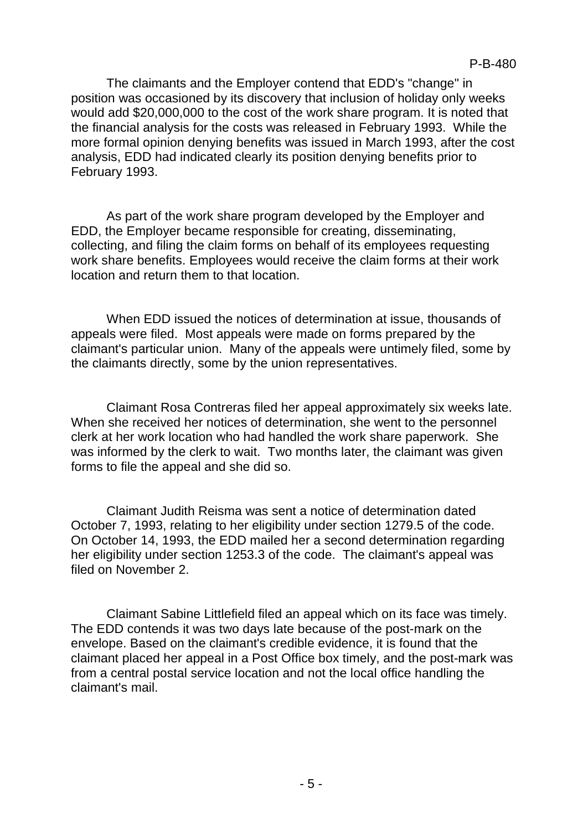The claimants and the Employer contend that EDD's "change" in position was occasioned by its discovery that inclusion of holiday only weeks would add \$20,000,000 to the cost of the work share program. It is noted that the financial analysis for the costs was released in February 1993. While the more formal opinion denying benefits was issued in March 1993, after the cost analysis, EDD had indicated clearly its position denying benefits prior to February 1993.

As part of the work share program developed by the Employer and EDD, the Employer became responsible for creating, disseminating, collecting, and filing the claim forms on behalf of its employees requesting work share benefits. Employees would receive the claim forms at their work location and return them to that location.

When EDD issued the notices of determination at issue, thousands of appeals were filed. Most appeals were made on forms prepared by the claimant's particular union. Many of the appeals were untimely filed, some by the claimants directly, some by the union representatives.

Claimant Rosa Contreras filed her appeal approximately six weeks late. When she received her notices of determination, she went to the personnel clerk at her work location who had handled the work share paperwork. She was informed by the clerk to wait. Two months later, the claimant was given forms to file the appeal and she did so.

Claimant Judith Reisma was sent a notice of determination dated October 7, 1993, relating to her eligibility under section 1279.5 of the code. On October 14, 1993, the EDD mailed her a second determination regarding her eligibility under section 1253.3 of the code. The claimant's appeal was filed on November 2.

Claimant Sabine Littlefield filed an appeal which on its face was timely. The EDD contends it was two days late because of the post-mark on the envelope. Based on the claimant's credible evidence, it is found that the claimant placed her appeal in a Post Office box timely, and the post-mark was from a central postal service location and not the local office handling the claimant's mail.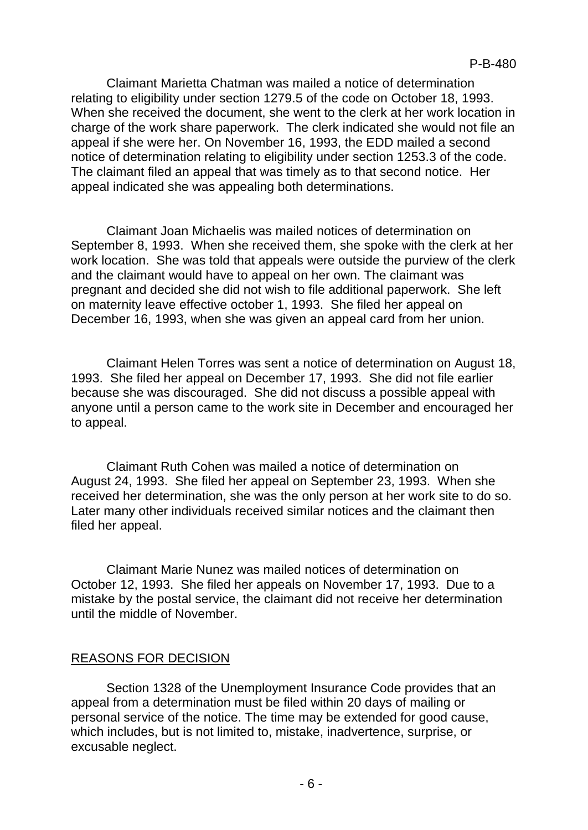Claimant Marietta Chatman was mailed a notice of determination relating to eligibility under section 1279.5 of the code on October 18, 1993. When she received the document, she went to the clerk at her work location in charge of the work share paperwork. The clerk indicated she would not file an appeal if she were her. On November 16, 1993, the EDD mailed a second notice of determination relating to eligibility under section 1253.3 of the code. The claimant filed an appeal that was timely as to that second notice. Her appeal indicated she was appealing both determinations.

Claimant Joan Michaelis was mailed notices of determination on September 8, 1993. When she received them, she spoke with the clerk at her work location. She was told that appeals were outside the purview of the clerk and the claimant would have to appeal on her own. The claimant was pregnant and decided she did not wish to file additional paperwork. She left on maternity leave effective october 1, 1993. She filed her appeal on December 16, 1993, when she was given an appeal card from her union.

Claimant Helen Torres was sent a notice of determination on August 18, 1993. She filed her appeal on December 17, 1993. She did not file earlier because she was discouraged. She did not discuss a possible appeal with anyone until a person came to the work site in December and encouraged her to appeal.

Claimant Ruth Cohen was mailed a notice of determination on August 24, 1993. She filed her appeal on September 23, 1993. When she received her determination, she was the only person at her work site to do so. Later many other individuals received similar notices and the claimant then filed her appeal.

Claimant Marie Nunez was mailed notices of determination on October 12, 1993. She filed her appeals on November 17, 1993. Due to a mistake by the postal service, the claimant did not receive her determination until the middle of November.

#### REASONS FOR DECISION

Section 1328 of the Unemployment Insurance Code provides that an appeal from a determination must be filed within 20 days of mailing or personal service of the notice. The time may be extended for good cause, which includes, but is not limited to, mistake, inadvertence, surprise, or excusable neglect.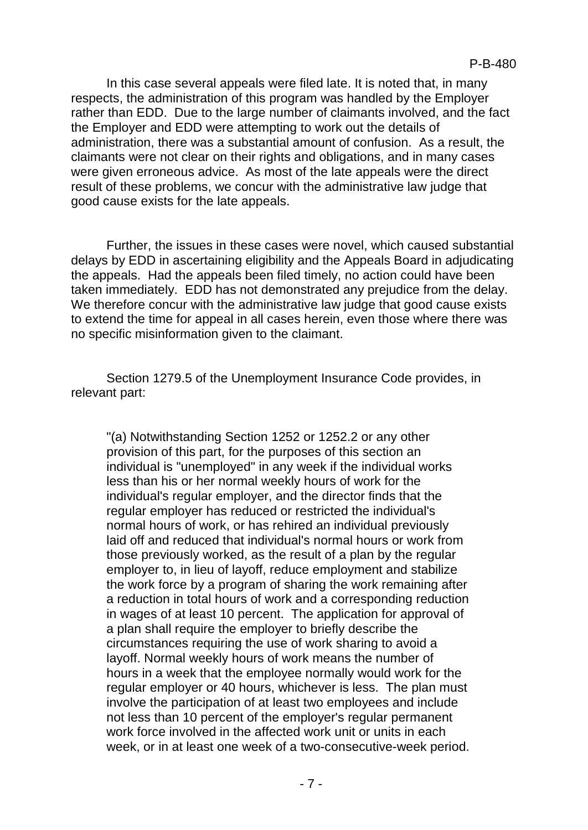In this case several appeals were filed late. It is noted that, in many respects, the administration of this program was handled by the Employer rather than EDD. Due to the large number of claimants involved, and the fact the Employer and EDD were attempting to work out the details of administration, there was a substantial amount of confusion. As a result, the claimants were not clear on their rights and obligations, and in many cases were given erroneous advice. As most of the late appeals were the direct result of these problems, we concur with the administrative law judge that good cause exists for the late appeals.

Further, the issues in these cases were novel, which caused substantial delays by EDD in ascertaining eligibility and the Appeals Board in adjudicating the appeals. Had the appeals been filed timely, no action could have been taken immediately. EDD has not demonstrated any prejudice from the delay. We therefore concur with the administrative law judge that good cause exists to extend the time for appeal in all cases herein, even those where there was no specific misinformation given to the claimant.

Section 1279.5 of the Unemployment Insurance Code provides, in relevant part:

"(a) Notwithstanding Section 1252 or 1252.2 or any other provision of this part, for the purposes of this section an individual is "unemployed" in any week if the individual works less than his or her normal weekly hours of work for the individual's regular employer, and the director finds that the regular employer has reduced or restricted the individual's normal hours of work, or has rehired an individual previously laid off and reduced that individual's normal hours or work from those previously worked, as the result of a plan by the regular employer to, in lieu of layoff, reduce employment and stabilize the work force by a program of sharing the work remaining after a reduction in total hours of work and a corresponding reduction in wages of at least 10 percent. The application for approval of a plan shall require the employer to briefly describe the circumstances requiring the use of work sharing to avoid a layoff. Normal weekly hours of work means the number of hours in a week that the employee normally would work for the regular employer or 40 hours, whichever is less. The plan must involve the participation of at least two employees and include not less than 10 percent of the employer's regular permanent work force involved in the affected work unit or units in each week, or in at least one week of a two-consecutive-week period.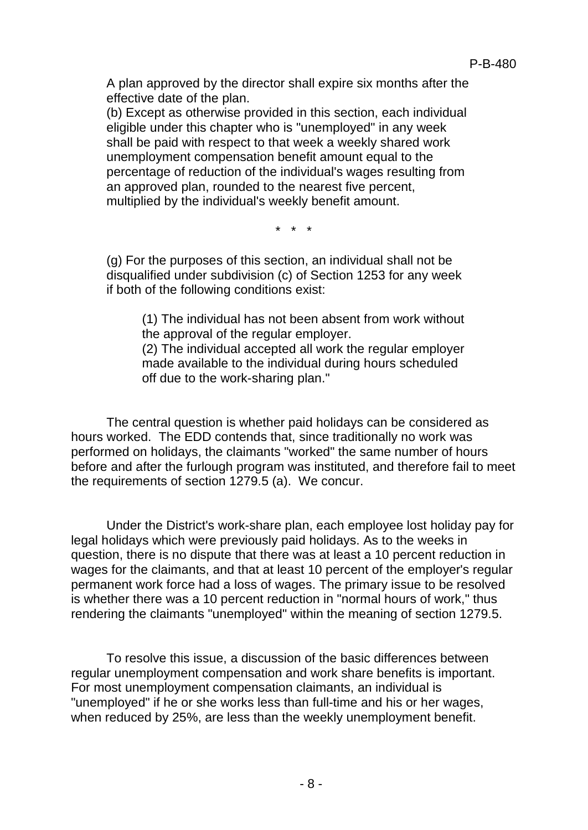A plan approved by the director shall expire six months after the effective date of the plan.

(b) Except as otherwise provided in this section, each individual eligible under this chapter who is "unemployed" in any week shall be paid with respect to that week a weekly shared work unemployment compensation benefit amount equal to the percentage of reduction of the individual's wages resulting from an approved plan, rounded to the nearest five percent, multiplied by the individual's weekly benefit amount.

\* \* \*

(g) For the purposes of this section, an individual shall not be disqualified under subdivision (c) of Section 1253 for any week if both of the following conditions exist:

(1) The individual has not been absent from work without the approval of the regular employer.

(2) The individual accepted all work the regular employer made available to the individual during hours scheduled off due to the work-sharing plan."

The central question is whether paid holidays can be considered as hours worked. The EDD contends that, since traditionally no work was performed on holidays, the claimants "worked" the same number of hours before and after the furlough program was instituted, and therefore fail to meet the requirements of section 1279.5 (a). We concur.

Under the District's work-share plan, each employee lost holiday pay for legal holidays which were previously paid holidays. As to the weeks in question, there is no dispute that there was at least a 10 percent reduction in wages for the claimants, and that at least 10 percent of the employer's regular permanent work force had a loss of wages. The primary issue to be resolved is whether there was a 10 percent reduction in "normal hours of work," thus rendering the claimants "unemployed" within the meaning of section 1279.5.

To resolve this issue, a discussion of the basic differences between regular unemployment compensation and work share benefits is important. For most unemployment compensation claimants, an individual is "unemployed" if he or she works less than full-time and his or her wages, when reduced by 25%, are less than the weekly unemployment benefit.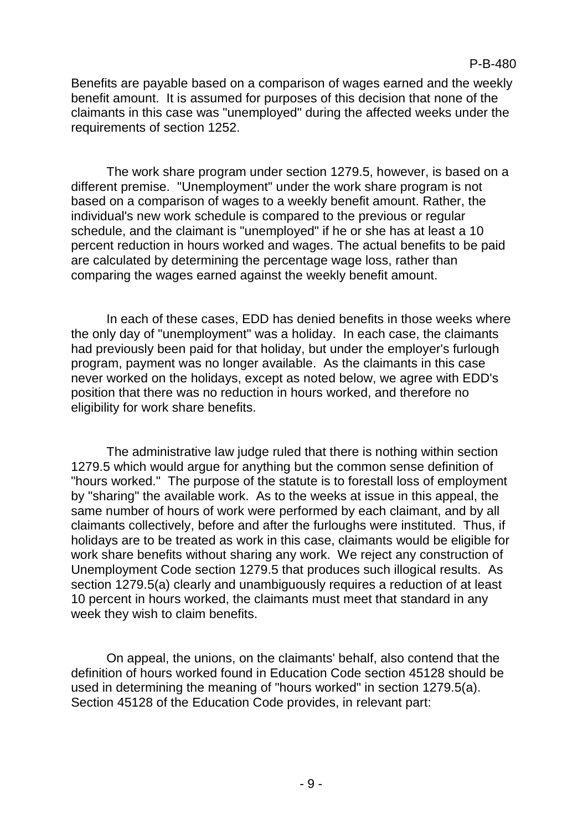Benefits are payable based on a comparison of wages earned and the weekly benefit amount. It is assumed for purposes of this decision that none of the claimants in this case was "unemployed" during the affected weeks under the requirements of section 1252.

The work share program under section 1279.5, however, is based on a different premise. "Unemployment" under the work share program is not based on a comparison of wages to a weekly benefit amount. Rather, the individual's new work schedule is compared to the previous or regular schedule, and the claimant is "unemployed" if he or she has at least a 10 percent reduction in hours worked and wages. The actual benefits to be paid are calculated by determining the percentage wage loss, rather than comparing the wages earned against the weekly benefit amount.

In each of these cases, EDD has denied benefits in those weeks where the only day of "unemployment" was a holiday. In each case, the claimants had previously been paid for that holiday, but under the employer's furlough program, payment was no longer available. As the claimants in this case never worked on the holidays, except as noted below, we agree with EDD's position that there was no reduction in hours worked, and therefore no eligibility for work share benefits.

The administrative law judge ruled that there is nothing within section 1279.5 which would argue for anything but the common sense definition of "hours worked." The purpose of the statute is to forestall loss of employment by "sharing" the available work. As to the weeks at issue in this appeal, the same number of hours of work were performed by each claimant, and by all claimants collectively, before and after the furloughs were instituted. Thus, if holidays are to be treated as work in this case, claimants would be eligible for work share benefits without sharing any work. We reject any construction of Unemployment Code section 1279.5 that produces such illogical results. As section 1279.5(a) clearly and unambiguously requires a reduction of at least 10 percent in hours worked, the claimants must meet that standard in any week they wish to claim benefits.

On appeal, the unions, on the claimants' behalf, also contend that the definition of hours worked found in Education Code section 45128 should be used in determining the meaning of "hours worked" in section 1279.5(a). Section 45128 of the Education Code provides, in relevant part: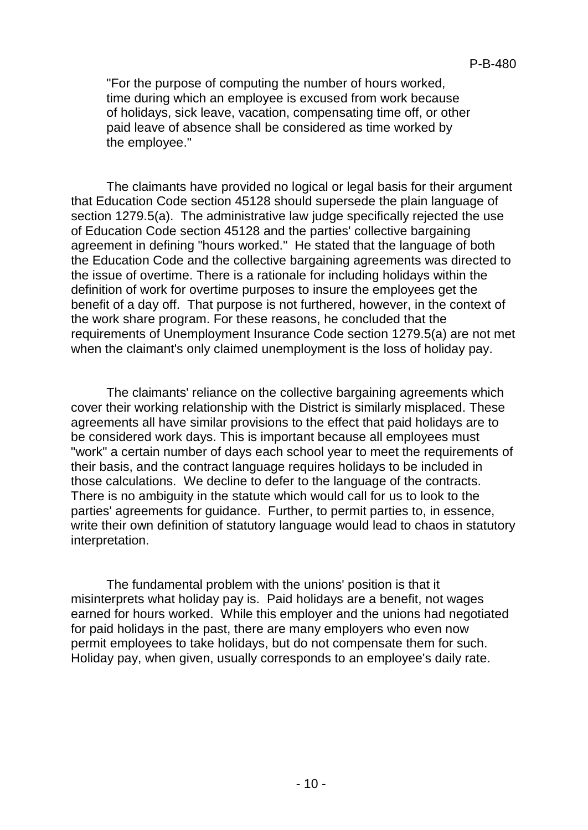"For the purpose of computing the number of hours worked, time during which an employee is excused from work because of holidays, sick leave, vacation, compensating time off, or other paid leave of absence shall be considered as time worked by the employee."

The claimants have provided no logical or legal basis for their argument that Education Code section 45128 should supersede the plain language of section 1279.5(a). The administrative law judge specifically rejected the use of Education Code section 45128 and the parties' collective bargaining agreement in defining "hours worked." He stated that the language of both the Education Code and the collective bargaining agreements was directed to the issue of overtime. There is a rationale for including holidays within the definition of work for overtime purposes to insure the employees get the benefit of a day off. That purpose is not furthered, however, in the context of the work share program. For these reasons, he concluded that the requirements of Unemployment Insurance Code section 1279.5(a) are not met when the claimant's only claimed unemployment is the loss of holiday pay.

The claimants' reliance on the collective bargaining agreements which cover their working relationship with the District is similarly misplaced. These agreements all have similar provisions to the effect that paid holidays are to be considered work days. This is important because all employees must "work" a certain number of days each school year to meet the requirements of their basis, and the contract language requires holidays to be included in those calculations. We decline to defer to the language of the contracts. There is no ambiguity in the statute which would call for us to look to the parties' agreements for guidance. Further, to permit parties to, in essence, write their own definition of statutory language would lead to chaos in statutory interpretation.

The fundamental problem with the unions' position is that it misinterprets what holiday pay is. Paid holidays are a benefit, not wages earned for hours worked. While this employer and the unions had negotiated for paid holidays in the past, there are many employers who even now permit employees to take holidays, but do not compensate them for such. Holiday pay, when given, usually corresponds to an employee's daily rate.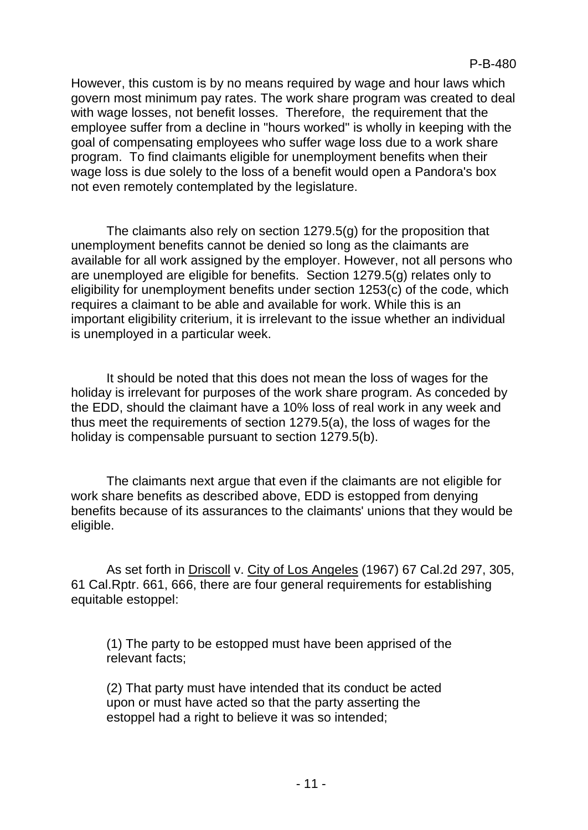However, this custom is by no means required by wage and hour laws which govern most minimum pay rates. The work share program was created to deal with wage losses, not benefit losses. Therefore, the requirement that the employee suffer from a decline in "hours worked" is wholly in keeping with the goal of compensating employees who suffer wage loss due to a work share program. To find claimants eligible for unemployment benefits when their wage loss is due solely to the loss of a benefit would open a Pandora's box not even remotely contemplated by the legislature.

The claimants also rely on section 1279.5(g) for the proposition that unemployment benefits cannot be denied so long as the claimants are available for all work assigned by the employer. However, not all persons who are unemployed are eligible for benefits. Section 1279.5(g) relates only to eligibility for unemployment benefits under section 1253(c) of the code, which requires a claimant to be able and available for work. While this is an important eligibility criterium, it is irrelevant to the issue whether an individual is unemployed in a particular week.

It should be noted that this does not mean the loss of wages for the holiday is irrelevant for purposes of the work share program. As conceded by the EDD, should the claimant have a 10% loss of real work in any week and thus meet the requirements of section 1279.5(a), the loss of wages for the holiday is compensable pursuant to section 1279.5(b).

The claimants next argue that even if the claimants are not eligible for work share benefits as described above, EDD is estopped from denying benefits because of its assurances to the claimants' unions that they would be eligible.

As set forth in Driscoll v. City of Los Angeles (1967) 67 Cal.2d 297, 305, 61 Cal.Rptr. 661, 666, there are four general requirements for establishing equitable estoppel:

(1) The party to be estopped must have been apprised of the relevant facts;

(2) That party must have intended that its conduct be acted upon or must have acted so that the party asserting the estoppel had a right to believe it was so intended;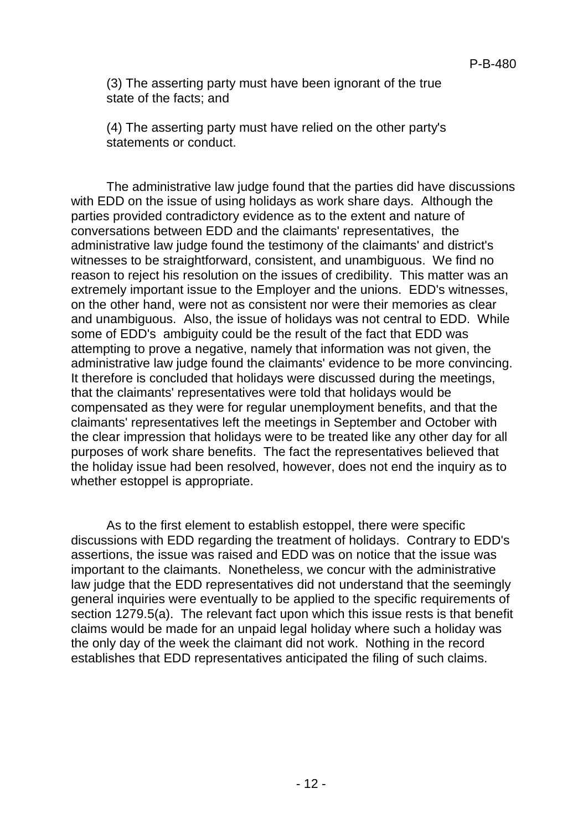(3) The asserting party must have been ignorant of the true state of the facts; and

(4) The asserting party must have relied on the other party's statements or conduct.

The administrative law judge found that the parties did have discussions with EDD on the issue of using holidays as work share days. Although the parties provided contradictory evidence as to the extent and nature of conversations between EDD and the claimants' representatives, the administrative law judge found the testimony of the claimants' and district's witnesses to be straightforward, consistent, and unambiguous. We find no reason to reject his resolution on the issues of credibility. This matter was an extremely important issue to the Employer and the unions. EDD's witnesses, on the other hand, were not as consistent nor were their memories as clear and unambiguous. Also, the issue of holidays was not central to EDD. While some of EDD's ambiguity could be the result of the fact that EDD was attempting to prove a negative, namely that information was not given, the administrative law judge found the claimants' evidence to be more convincing. It therefore is concluded that holidays were discussed during the meetings, that the claimants' representatives were told that holidays would be compensated as they were for regular unemployment benefits, and that the claimants' representatives left the meetings in September and October with the clear impression that holidays were to be treated like any other day for all purposes of work share benefits. The fact the representatives believed that the holiday issue had been resolved, however, does not end the inquiry as to whether estoppel is appropriate.

As to the first element to establish estoppel, there were specific discussions with EDD regarding the treatment of holidays. Contrary to EDD's assertions, the issue was raised and EDD was on notice that the issue was important to the claimants. Nonetheless, we concur with the administrative law judge that the EDD representatives did not understand that the seemingly general inquiries were eventually to be applied to the specific requirements of section 1279.5(a). The relevant fact upon which this issue rests is that benefit claims would be made for an unpaid legal holiday where such a holiday was the only day of the week the claimant did not work. Nothing in the record establishes that EDD representatives anticipated the filing of such claims.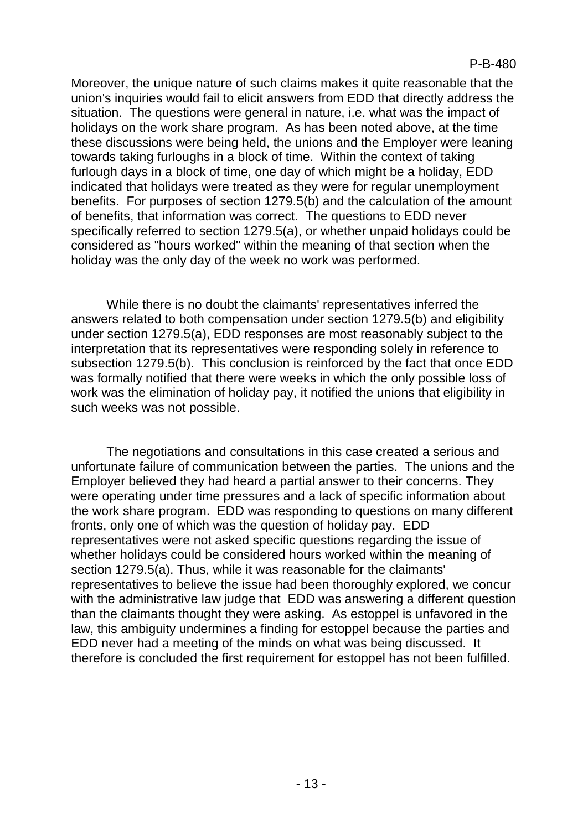Moreover, the unique nature of such claims makes it quite reasonable that the union's inquiries would fail to elicit answers from EDD that directly address the situation. The questions were general in nature, i.e. what was the impact of holidays on the work share program. As has been noted above, at the time these discussions were being held, the unions and the Employer were leaning towards taking furloughs in a block of time. Within the context of taking furlough days in a block of time, one day of which might be a holiday, EDD indicated that holidays were treated as they were for regular unemployment benefits. For purposes of section 1279.5(b) and the calculation of the amount of benefits, that information was correct. The questions to EDD never specifically referred to section 1279.5(a), or whether unpaid holidays could be considered as "hours worked" within the meaning of that section when the holiday was the only day of the week no work was performed.

While there is no doubt the claimants' representatives inferred the answers related to both compensation under section 1279.5(b) and eligibility under section 1279.5(a), EDD responses are most reasonably subject to the interpretation that its representatives were responding solely in reference to subsection 1279.5(b). This conclusion is reinforced by the fact that once EDD was formally notified that there were weeks in which the only possible loss of work was the elimination of holiday pay, it notified the unions that eligibility in such weeks was not possible.

The negotiations and consultations in this case created a serious and unfortunate failure of communication between the parties. The unions and the Employer believed they had heard a partial answer to their concerns. They were operating under time pressures and a lack of specific information about the work share program. EDD was responding to questions on many different fronts, only one of which was the question of holiday pay. EDD representatives were not asked specific questions regarding the issue of whether holidays could be considered hours worked within the meaning of section 1279.5(a). Thus, while it was reasonable for the claimants' representatives to believe the issue had been thoroughly explored, we concur with the administrative law judge that EDD was answering a different question than the claimants thought they were asking. As estoppel is unfavored in the law, this ambiguity undermines a finding for estoppel because the parties and EDD never had a meeting of the minds on what was being discussed. It therefore is concluded the first requirement for estoppel has not been fulfilled.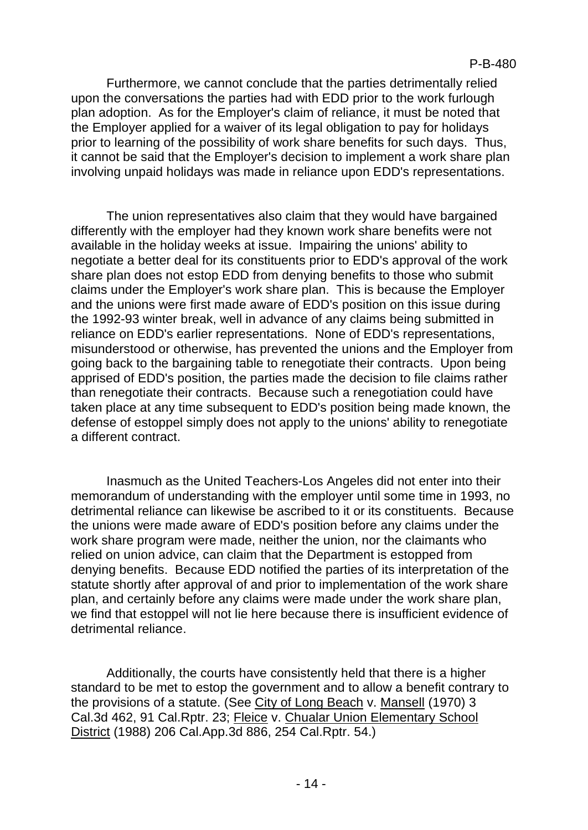Furthermore, we cannot conclude that the parties detrimentally relied upon the conversations the parties had with EDD prior to the work furlough plan adoption. As for the Employer's claim of reliance, it must be noted that the Employer applied for a waiver of its legal obligation to pay for holidays prior to learning of the possibility of work share benefits for such days. Thus, it cannot be said that the Employer's decision to implement a work share plan involving unpaid holidays was made in reliance upon EDD's representations.

The union representatives also claim that they would have bargained differently with the employer had they known work share benefits were not available in the holiday weeks at issue. Impairing the unions' ability to negotiate a better deal for its constituents prior to EDD's approval of the work share plan does not estop EDD from denying benefits to those who submit claims under the Employer's work share plan. This is because the Employer and the unions were first made aware of EDD's position on this issue during the 1992-93 winter break, well in advance of any claims being submitted in reliance on EDD's earlier representations. None of EDD's representations, misunderstood or otherwise, has prevented the unions and the Employer from going back to the bargaining table to renegotiate their contracts. Upon being apprised of EDD's position, the parties made the decision to file claims rather than renegotiate their contracts. Because such a renegotiation could have taken place at any time subsequent to EDD's position being made known, the defense of estoppel simply does not apply to the unions' ability to renegotiate a different contract.

Inasmuch as the United Teachers-Los Angeles did not enter into their memorandum of understanding with the employer until some time in 1993, no detrimental reliance can likewise be ascribed to it or its constituents. Because the unions were made aware of EDD's position before any claims under the work share program were made, neither the union, nor the claimants who relied on union advice, can claim that the Department is estopped from denying benefits. Because EDD notified the parties of its interpretation of the statute shortly after approval of and prior to implementation of the work share plan, and certainly before any claims were made under the work share plan, we find that estoppel will not lie here because there is insufficient evidence of detrimental reliance.

Additionally, the courts have consistently held that there is a higher standard to be met to estop the government and to allow a benefit contrary to the provisions of a statute. (See City of Long Beach v. Mansell (1970) 3 Cal.3d 462, 91 Cal.Rptr. 23; Fleice v. Chualar Union Elementary School District (1988) 206 Cal.App.3d 886, 254 Cal.Rptr. 54.)